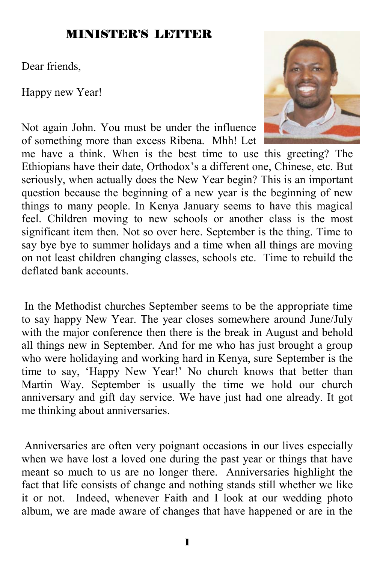## MINISTER'S LETTER

Dear friends,

Happy new Year!

Not again John. You must be under the influence of something more than excess Ribena. Mhh! Let



me have a think. When is the best time to use this greeting? The Ethiopians have their date, Orthodox's a different one, Chinese, etc. But seriously, when actually does the New Year begin? This is an important question because the beginning of a new year is the beginning of new things to many people. In Kenya January seems to have this magical feel. Children moving to new schools or another class is the most significant item then. Not so over here. September is the thing. Time to say bye bye to summer holidays and a time when all things are moving on not least children changing classes, schools etc. Time to rebuild the deflated bank accounts.

 In the Methodist churches September seems to be the appropriate time to say happy New Year. The year closes somewhere around June/July with the major conference then there is the break in August and behold all things new in September. And for me who has just brought a group who were holidaying and working hard in Kenya, sure September is the time to say, 'Happy New Year!' No church knows that better than Martin Way. September is usually the time we hold our church anniversary and gift day service. We have just had one already. It got me thinking about anniversaries.

 Anniversaries are often very poignant occasions in our lives especially when we have lost a loved one during the past year or things that have meant so much to us are no longer there. Anniversaries highlight the fact that life consists of change and nothing stands still whether we like it or not. Indeed, whenever Faith and I look at our wedding photo album, we are made aware of changes that have happened or are in the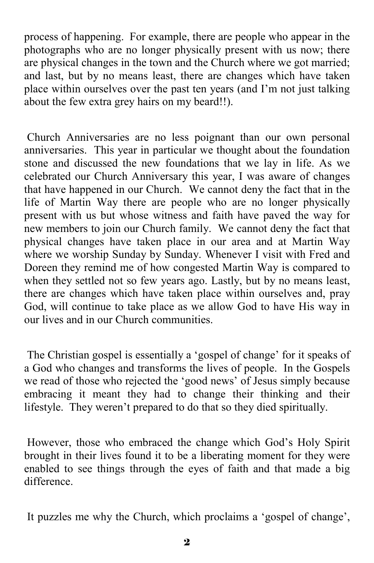process of happening. For example, there are people who appear in the photographs who are no longer physically present with us now; there are physical changes in the town and the Church where we got married; and last, but by no means least, there are changes which have taken place within ourselves over the past ten years (and I'm not just talking about the few extra grey hairs on my beard!!).

 Church Anniversaries are no less poignant than our own personal anniversaries. This year in particular we thought about the foundation stone and discussed the new foundations that we lay in life. As we celebrated our Church Anniversary this year, I was aware of changes that have happened in our Church. We cannot deny the fact that in the life of Martin Way there are people who are no longer physically present with us but whose witness and faith have paved the way for new members to join our Church family. We cannot deny the fact that physical changes have taken place in our area and at Martin Way where we worship Sunday by Sunday. Whenever I visit with Fred and Doreen they remind me of how congested Martin Way is compared to when they settled not so few years ago. Lastly, but by no means least, there are changes which have taken place within ourselves and, pray God, will continue to take place as we allow God to have His way in our lives and in our Church communities.

 The Christian gospel is essentially a 'gospel of change' for it speaks of a God who changes and transforms the lives of people. In the Gospels we read of those who rejected the 'good news' of Jesus simply because embracing it meant they had to change their thinking and their lifestyle. They weren't prepared to do that so they died spiritually.

 However, those who embraced the change which God's Holy Spirit brought in their lives found it to be a liberating moment for they were enabled to see things through the eyes of faith and that made a big difference.

It puzzles me why the Church, which proclaims a 'gospel of change',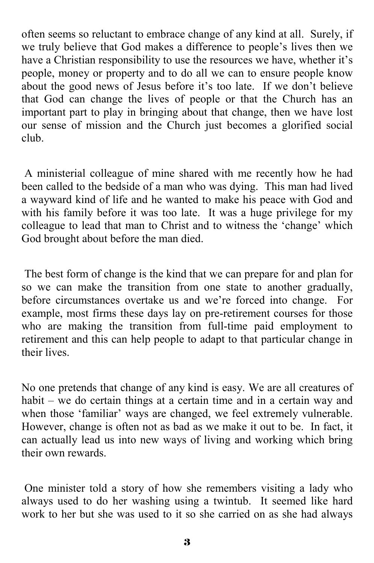often seems so reluctant to embrace change of any kind at all. Surely, if we truly believe that God makes a difference to people's lives then we have a Christian responsibility to use the resources we have, whether it's people, money or property and to do all we can to ensure people know about the good news of Jesus before it's too late. If we don't believe that God can change the lives of people or that the Church has an important part to play in bringing about that change, then we have lost our sense of mission and the Church just becomes a glorified social club.

 A ministerial colleague of mine shared with me recently how he had been called to the bedside of a man who was dying. This man had lived a wayward kind of life and he wanted to make his peace with God and with his family before it was too late. It was a huge privilege for my colleague to lead that man to Christ and to witness the 'change' which God brought about before the man died.

 The best form of change is the kind that we can prepare for and plan for so we can make the transition from one state to another gradually, before circumstances overtake us and we're forced into change. For example, most firms these days lay on pre-retirement courses for those who are making the transition from full-time paid employment to retirement and this can help people to adapt to that particular change in their lives.

No one pretends that change of any kind is easy. We are all creatures of habit – we do certain things at a certain time and in a certain way and when those 'familiar' ways are changed, we feel extremely vulnerable. However, change is often not as bad as we make it out to be. In fact, it can actually lead us into new ways of living and working which bring their own rewards.

 One minister told a story of how she remembers visiting a lady who always used to do her washing using a twintub. It seemed like hard work to her but she was used to it so she carried on as she had always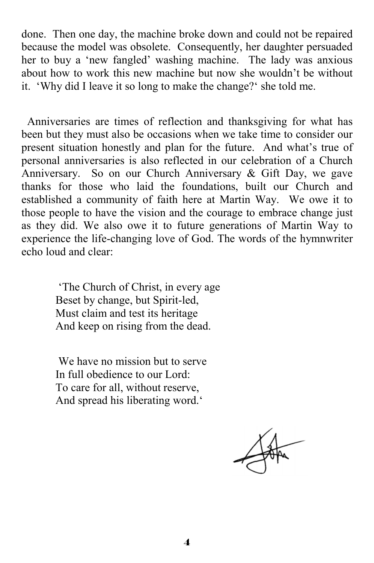done. Then one day, the machine broke down and could not be repaired because the model was obsolete. Consequently, her daughter persuaded her to buy a 'new fangled' washing machine. The lady was anxious about how to work this new machine but now she wouldn't be without it. 'Why did I leave it so long to make the change?' she told me.

 Anniversaries are times of reflection and thanksgiving for what has been but they must also be occasions when we take time to consider our present situation honestly and plan for the future. And what's true of personal anniversaries is also reflected in our celebration of a Church Anniversary. So on our Church Anniversary & Gift Day, we gave thanks for those who laid the foundations, built our Church and established a community of faith here at Martin Way. We owe it to those people to have the vision and the courage to embrace change just as they did. We also owe it to future generations of Martin Way to experience the life-changing love of God. The words of the hymnwriter echo loud and clear:

> 'The Church of Christ, in every age Beset by change, but Spirit-led, Must claim and test its heritage And keep on rising from the dead.

 We have no mission but to serve In full obedience to our Lord: To care for all, without reserve, And spread his liberating word.'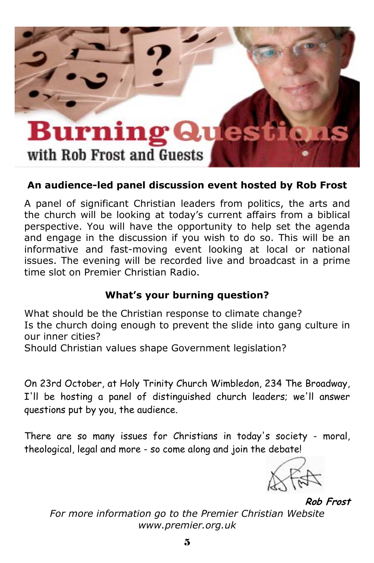

#### **An audience-led panel discussion event hosted by Rob Frost**

A panel of significant Christian leaders from politics, the arts and the church will be looking at today's current affairs from a biblical perspective. You will have the opportunity to help set the agenda and engage in the discussion if you wish to do so. This will be an informative and fast-moving event looking at local or national issues. The evening will be recorded live and broadcast in a prime time slot on Premier Christian Radio.

#### **What's your burning question?**

What should be the Christian response to climate change? Is the church doing enough to prevent the slide into gang culture in our inner cities?

Should Christian values shape Government legislation?

On 23rd October, at Holy Trinity Church Wimbledon, 234 The Broadway, I'll be hosting a panel of distinguished church leaders; we'll answer questions put by you, the audience.

There are so many issues for Christians in today's society - moral, theological, legal and more - so come along and join the debate!



**Rob Frost**

*For more information go to the Premier Christian Website www.premier.org.uk*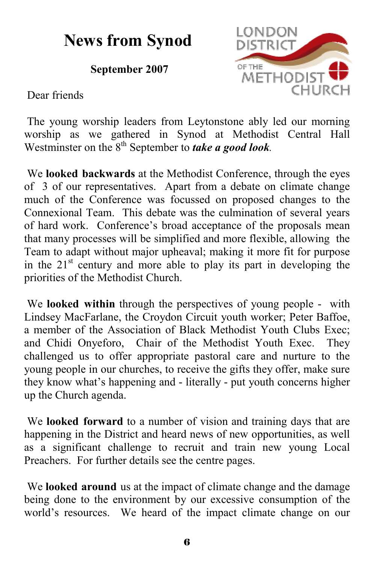## **News from Synod**

**September 2007** 



Dear friends

 The young worship leaders from Leytonstone ably led our morning worship as we gathered in Synod at Methodist Central Hall Westminster on the 8<sup>th</sup> September to *take a good look*.

 We **looked backwards** at the Methodist Conference, through the eyes of 3 of our representatives. Apart from a debate on climate change much of the Conference was focussed on proposed changes to the Connexional Team. This debate was the culmination of several years of hard work. Conference's broad acceptance of the proposals mean that many processes will be simplified and more flexible, allowing the Team to adapt without major upheaval; making it more fit for purpose in the  $21<sup>st</sup>$  century and more able to play its part in developing the priorities of the Methodist Church.

 We **looked within** through the perspectives of young people - with Lindsey MacFarlane, the Croydon Circuit youth worker; Peter Baffoe, a member of the Association of Black Methodist Youth Clubs Exec; and Chidi Onyeforo, Chair of the Methodist Youth Exec. They challenged us to offer appropriate pastoral care and nurture to the young people in our churches, to receive the gifts they offer, make sure they know what's happening and - literally - put youth concerns higher up the Church agenda.

 We **looked forward** to a number of vision and training days that are happening in the District and heard news of new opportunities, as well as a significant challenge to recruit and train new young Local Preachers. For further details see the centre pages.

 We **looked around** us at the impact of climate change and the damage being done to the environment by our excessive consumption of the world's resources. We heard of the impact climate change on our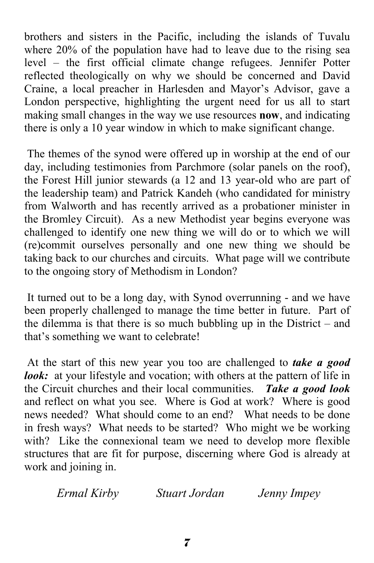brothers and sisters in the Pacific, including the islands of Tuvalu where 20% of the population have had to leave due to the rising sea level – the first official climate change refugees. Jennifer Potter reflected theologically on why we should be concerned and David Craine, a local preacher in Harlesden and Mayor's Advisor, gave a London perspective, highlighting the urgent need for us all to start making small changes in the way we use resources **now**, and indicating there is only a 10 year window in which to make significant change.

 The themes of the synod were offered up in worship at the end of our day, including testimonies from Parchmore (solar panels on the roof), the Forest Hill junior stewards (a 12 and 13 year-old who are part of the leadership team) and Patrick Kandeh (who candidated for ministry from Walworth and has recently arrived as a probationer minister in the Bromley Circuit). As a new Methodist year begins everyone was challenged to identify one new thing we will do or to which we will (re)commit ourselves personally and one new thing we should be taking back to our churches and circuits. What page will we contribute to the ongoing story of Methodism in London?

 It turned out to be a long day, with Synod overrunning - and we have been properly challenged to manage the time better in future. Part of the dilemma is that there is so much bubbling up in the District – and that's something we want to celebrate!

 At the start of this new year you too are challenged to *take a good look*: at your lifestyle and vocation; with others at the pattern of life in the Circuit churches and their local communities. *Take a good look* and reflect on what you see. Where is God at work? Where is good news needed? What should come to an end? What needs to be done in fresh ways? What needs to be started? Who might we be working with? Like the connexional team we need to develop more flexible structures that are fit for purpose, discerning where God is already at work and joining in.

*Ermal Kirby Stuart Jordan Jenny Impey*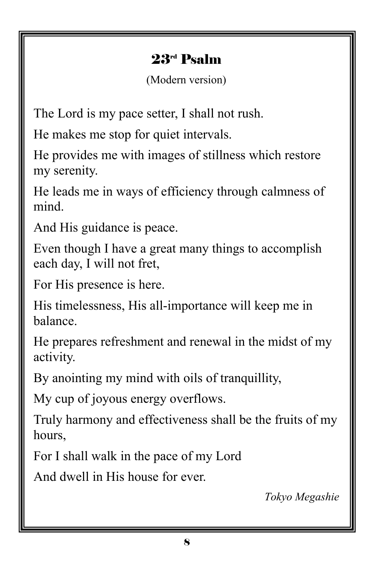## 23rd Psalm

(Modern version)

The Lord is my pace setter, I shall not rush.

He makes me stop for quiet intervals.

He provides me with images of stillness which restore my serenity.

He leads me in ways of efficiency through calmness of mind.

And His guidance is peace.

Even though I have a great many things to accomplish each day, I will not fret,

For His presence is here.

His timelessness, His all-importance will keep me in balance.

He prepares refreshment and renewal in the midst of my activity.

By anointing my mind with oils of tranquillity,

My cup of joyous energy overflows.

Truly harmony and effectiveness shall be the fruits of my hours,

For I shall walk in the pace of my Lord

And dwell in His house for ever.

*Tokyo Megashie*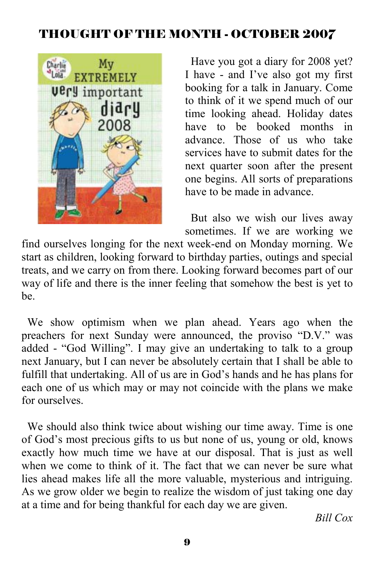## THOUGHT OF THE MONTH - OCTOBER 2007



 Have you got a diary for 2008 yet? I have - and I've also got my first booking for a talk in January. Come to think of it we spend much of our time looking ahead. Holiday dates have to be booked months in advance. Those of us who take services have to submit dates for the next quarter soon after the present one begins. All sorts of preparations have to be made in advance.

 But also we wish our lives away sometimes. If we are working we

find ourselves longing for the next week-end on Monday morning. We start as children, looking forward to birthday parties, outings and special treats, and we carry on from there. Looking forward becomes part of our way of life and there is the inner feeling that somehow the best is yet to be.

 We show optimism when we plan ahead. Years ago when the preachers for next Sunday were announced, the proviso "D.V." was added - "God Willing". I may give an undertaking to talk to a group next January, but I can never be absolutely certain that I shall be able to fulfill that undertaking. All of us are in God's hands and he has plans for each one of us which may or may not coincide with the plans we make for ourselves.

 We should also think twice about wishing our time away. Time is one of God's most precious gifts to us but none of us, young or old, knows exactly how much time we have at our disposal. That is just as well when we come to think of it. The fact that we can never be sure what lies ahead makes life all the more valuable, mysterious and intriguing. As we grow older we begin to realize the wisdom of just taking one day at a time and for being thankful for each day we are given.

*Bill Cox*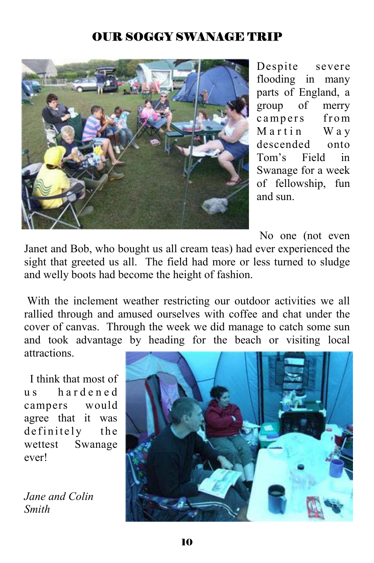## OUR SOGGY SWANAGE TRIP



Despite severe flooding in many parts of England, a group of merry campers from Martin Way descended onto Tom's Field in Swanage for a week of fellowship, fun and sun.

No one (not even

Janet and Bob, who bought us all cream teas) had ever experienced the sight that greeted us all. The field had more or less turned to sludge and welly boots had become the height of fashion.

 With the inclement weather restricting our outdoor activities we all rallied through and amused ourselves with coffee and chat under the cover of canvas. Through the week we did manage to catch some sun and took advantage by heading for the beach or visiting local attractions.

 I think that most of u s h a r d e n e d campers would agree that it was definitely the wettest Swanage ever!

*Jane and Colin Smith* 

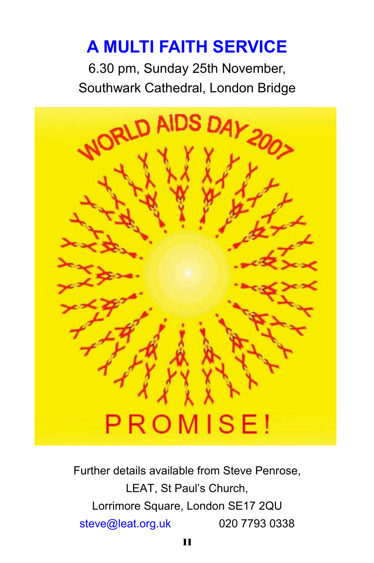# **A MULTI FAITH SERVICE**

6.30 pm, Sunday 25th November, Southwark Cathedral, London Bridge



Further details available from Steve Penrose, LEAT, St Paul's Church, Lorrimore Square, London SE17 2QU steve@leat.org.uk 020 7793 0338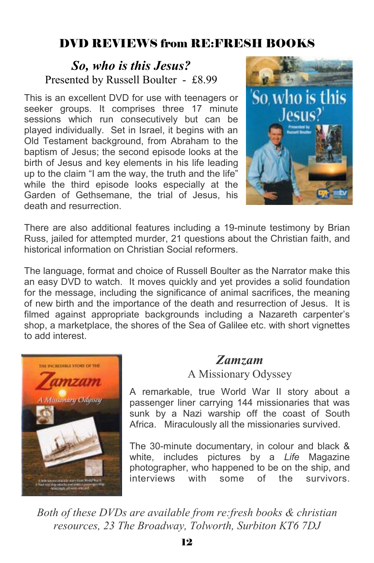## DVD REVIEWS from RE:FRESH BOOKS

### *So, who is this Jesus?* Presented by Russell Boulter - £8.99

This is an excellent DVD for use with teenagers or seeker groups. It comprises three 17 minute sessions which run consecutively but can be played individually. Set in Israel, it begins with an Old Testament background, from Abraham to the baptism of Jesus; the second episode looks at the birth of Jesus and key elements in his life leading up to the claim "I am the way, the truth and the life" while the third episode looks especially at the Garden of Gethsemane, the trial of Jesus, his death and resurrection.



There are also additional features including a 19-minute testimony by Brian Russ, jailed for attempted murder, 21 questions about the Christian faith, and historical information on Christian Social reformers.

The language, format and choice of Russell Boulter as the Narrator make this an easy DVD to watch. It moves quickly and yet provides a solid foundation for the message, including the significance of animal sacrifices, the meaning of new birth and the importance of the death and resurrection of Jesus. It is filmed against appropriate backgrounds including a Nazareth carpenter's shop, a marketplace, the shores of the Sea of Galilee etc. with short vignettes to add interest.



## *Zamzam*

A Missionary Odyssey

A remarkable, true World War II story about a passenger liner carrying 144 missionaries that was sunk by a Nazi warship off the coast of South Africa. Miraculously all the missionaries survived.

The 30-minute documentary, in colour and black & white, includes pictures by a *Life* Magazine photographer, who happened to be on the ship, and interviews with some of the survivors.

*Both of these DVDs are available from re:fresh books & christian resources, 23 The Broadway, Tolworth, Surbiton KT6 7DJ*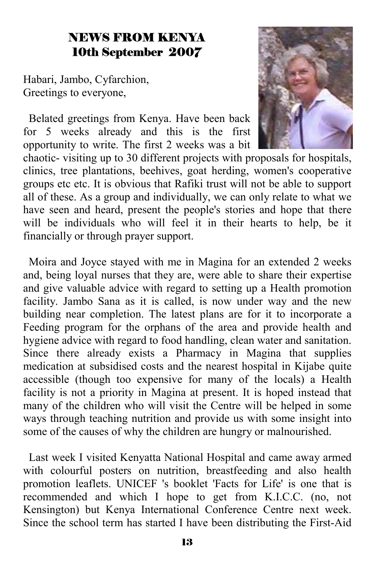## NEWS FROM KENYA 10th September 2007

Habari, Jambo, Cyfarchion, Greetings to everyone,

 Belated greetings from Kenya. Have been back for 5 weeks already and this is the first opportunity to write. The first 2 weeks was a bit



chaotic- visiting up to 30 different projects with proposals for hospitals, clinics, tree plantations, beehives, goat herding, women's cooperative groups etc etc. It is obvious that Rafiki trust will not be able to support all of these. As a group and individually, we can only relate to what we have seen and heard, present the people's stories and hope that there will be individuals who will feel it in their hearts to help, be it financially or through prayer support.

 Moira and Joyce stayed with me in Magina for an extended 2 weeks and, being loyal nurses that they are, were able to share their expertise and give valuable advice with regard to setting up a Health promotion facility. Jambo Sana as it is called, is now under way and the new building near completion. The latest plans are for it to incorporate a Feeding program for the orphans of the area and provide health and hygiene advice with regard to food handling, clean water and sanitation. Since there already exists a Pharmacy in Magina that supplies medication at subsidised costs and the nearest hospital in Kijabe quite accessible (though too expensive for many of the locals) a Health facility is not a priority in Magina at present. It is hoped instead that many of the children who will visit the Centre will be helped in some ways through teaching nutrition and provide us with some insight into some of the causes of why the children are hungry or malnourished.

 Last week I visited Kenyatta National Hospital and came away armed with colourful posters on nutrition, breastfeeding and also health promotion leaflets. UNICEF 's booklet 'Facts for Life' is one that is recommended and which I hope to get from K.I.C.C. (no, not Kensington) but Kenya International Conference Centre next week. Since the school term has started I have been distributing the First-Aid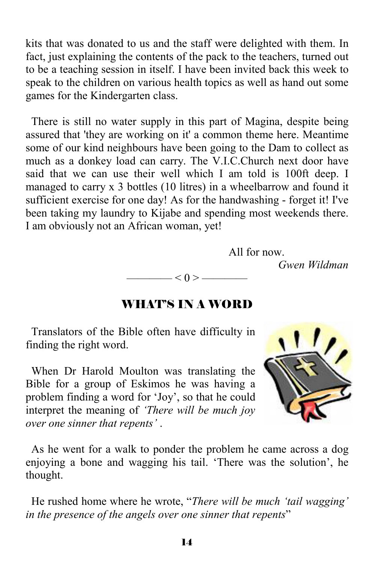kits that was donated to us and the staff were delighted with them. In fact, just explaining the contents of the pack to the teachers, turned out to be a teaching session in itself. I have been invited back this week to speak to the children on various health topics as well as hand out some games for the Kindergarten class.

 There is still no water supply in this part of Magina, despite being assured that 'they are working on it' a common theme here. Meantime some of our kind neighbours have been going to the Dam to collect as much as a donkey load can carry. The V.I.C.Church next door have said that we can use their well which I am told is 100ft deep. I managed to carry x 3 bottles (10 litres) in a wheelbarrow and found it sufficient exercise for one day! As for the handwashing - forget it! I've been taking my laundry to Kijabe and spending most weekends there. I am obviously not an African woman, yet!

All for now.

*Gwen Wildman* 

#### WHAT'S IN A WORD

 $-$  < 0 >  $-$ 

 Translators of the Bible often have difficulty in finding the right word.

 When Dr Harold Moulton was translating the Bible for a group of Eskimos he was having a problem finding a word for 'Joy', so that he could interpret the meaning of *'There will be much joy over one sinner that repents'* .



 As he went for a walk to ponder the problem he came across a dog enjoying a bone and wagging his tail. 'There was the solution', he thought.

 He rushed home where he wrote, "*There will be much 'tail wagging' in the presence of the angels over one sinner that repents*"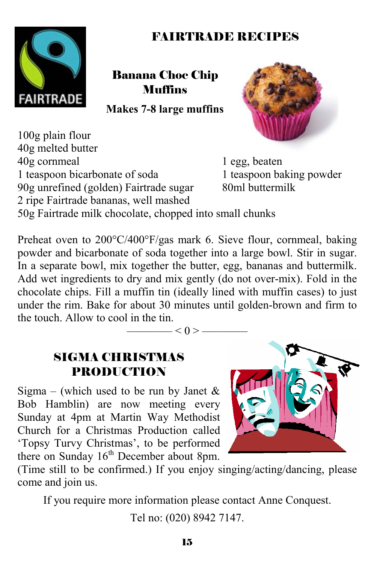## FAIRTRADE RECIPES



#### Banana Choc Chip Muffins

**Makes 7-8 large muffins** 

100g plain flour 40g melted butter 40g cornmeal 1 egg, beaten 1 teaspoon bicarbonate of soda 1 teaspoon baking powder<br>90g unrefined (golden) Fairtrade sugar 80ml buttermilk 90g unrefined (golden) Fairtrade sugar 2 ripe Fairtrade bananas, well mashed



50g Fairtrade milk chocolate, chopped into small chunks

Preheat oven to 200°C/400°F/gas mark 6. Sieve flour, cornmeal, baking powder and bicarbonate of soda together into a large bowl. Stir in sugar. In a separate bowl, mix together the butter, egg, bananas and buttermilk. Add wet ingredients to dry and mix gently (do not over-mix). Fold in the chocolate chips. Fill a muffin tin (ideally lined with muffin cases) to just under the rim. Bake for about 30 minutes until golden-brown and firm to the touch. Allow to cool in the tin.

—— $<$  0 > –

### SIGMA CHRISTMAS PRODUCTION

Sigma – (which used to be run by Janet  $\&$ Bob Hamblin) are now meeting every Sunday at 4pm at Martin Way Methodist Church for a Christmas Production called 'Topsy Turvy Christmas', to be performed there on Sunday 16<sup>th</sup> December about 8pm.



(Time still to be confirmed.) If you enjoy singing/acting/dancing, please come and join us.

If you require more information please contact Anne Conquest.

Tel no: (020) 8942 7147.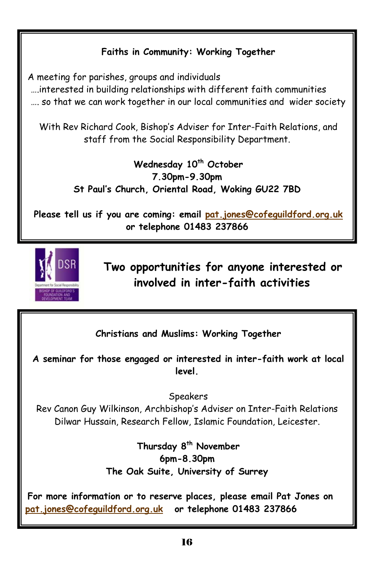#### **Faiths in Community: Working Together**

A meeting for parishes, groups and individuals

 ….interested in building relationships with different faith communities …. so that we can work together in our local communities and wider society

With Rev Richard Cook, Bishop's Adviser for Inter-Faith Relations, and staff from the Social Responsibility Department.

> Wednesday 10<sup>th</sup> October **7.30pm-9.30pm St Paul's Church, Oriental Road, Woking GU22 7BD**

**Please tell us if you are coming: email pat.jones@cofeguildford.org.uk or telephone 01483 237866** 



**Two opportunities for anyone interested or involved in inter-faith activities** 

**Christians and Muslims: Working Together** 

**A seminar for those engaged or interested in inter-faith work at local level.** 

Speakers

Rev Canon Guy Wilkinson, Archbishop's Adviser on Inter-Faith Relations Dilwar Hussain, Research Fellow, Islamic Foundation, Leicester.

> Thursday 8<sup>th</sup> November **6pm-8.30pm The Oak Suite, University of Surrey**

**For more information or to reserve places, please email Pat Jones on pat.jones@cofeguildford.org.uk or telephone 01483 237866**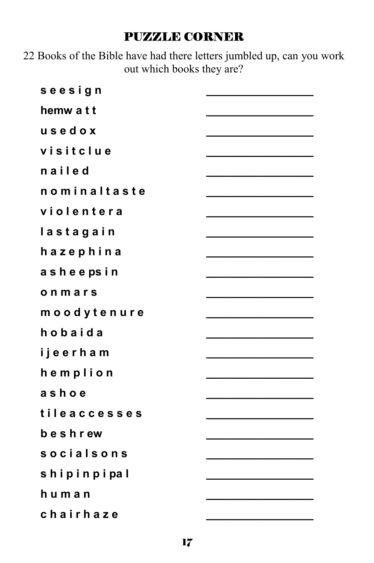#### PUZZLE CORNER

22 Books of the Bible have had there letters jumbled up, can you work out which books they are?

| seesign           |  |
|-------------------|--|
| hemw a t t        |  |
| usedox            |  |
| visitclue         |  |
| nailed            |  |
| nominaltaste      |  |
| violentera        |  |
| lastagain         |  |
| hazephina         |  |
| asheepsin         |  |
| onmars            |  |
| moodytenure       |  |
| hobaida           |  |
| ijeerham          |  |
| hemplion          |  |
| ashoe             |  |
| tileaccesses      |  |
| beshrew           |  |
| <b>socialsons</b> |  |
| shipinpipal       |  |
| human             |  |
| chairhaze         |  |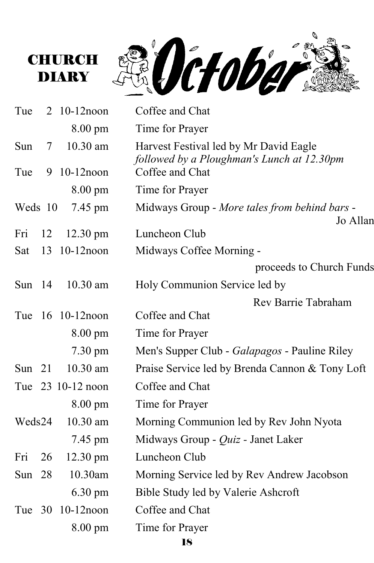



| Tue      |    | 2 10-12 noon       | Coffee and Chat                                                                      |
|----------|----|--------------------|--------------------------------------------------------------------------------------|
|          |    | $8.00 \text{ pm}$  | Time for Prayer                                                                      |
| Sun      | 7  | 10.30 am           | Harvest Festival led by Mr David Eagle<br>followed by a Ploughman's Lunch at 12.30pm |
| Tue      |    | 9 10-12noon        | Coffee and Chat                                                                      |
|          |    | $8.00 \text{ pm}$  | Time for Prayer                                                                      |
| Weds 10  |    | 7.45 pm            | Midways Group - More tales from behind bars -<br>Jo Allan                            |
| Fri      | 12 | $12.30 \text{ pm}$ | Luncheon Club                                                                        |
| Sat      | 13 | $10-12$ noon       | Midways Coffee Morning -                                                             |
|          |    |                    | proceeds to Church Funds                                                             |
| Sun $14$ |    | $10.30$ am         | Holy Communion Service led by                                                        |
|          |    |                    | Rev Barrie Tabraham                                                                  |
|          |    | Tue 16 10-12 noon  | Coffee and Chat                                                                      |
|          |    | $8.00 \text{ pm}$  | Time for Prayer                                                                      |
|          |    | $7.30 \text{ pm}$  | Men's Supper Club - Galapagos - Pauline Riley                                        |
| Sun $21$ |    | 10.30 am           | Praise Service led by Brenda Cannon & Tony Loft                                      |
|          |    | Tue 23 10-12 noon  | Coffee and Chat                                                                      |
|          |    | 8.00 pm            | Time for Prayer                                                                      |
| Weds24   |    | $10.30$ am         | Morning Communion led by Rev John Nyota                                              |
|          |    | 7.45 pm            | Midways Group - Quiz - Janet Laker                                                   |
| Fri      | 26 | 12.30 pm           | Luncheon Club                                                                        |
| Sun 28   |    | 10.30am            | Morning Service led by Rev Andrew Jacobson                                           |
|          |    | $6.30 \text{ pm}$  | Bible Study led by Valerie Ashcroft                                                  |
| Tue 30   |    | $10-12$ noon       | Coffee and Chat                                                                      |
|          |    | 8.00 pm            | Time for Prayer                                                                      |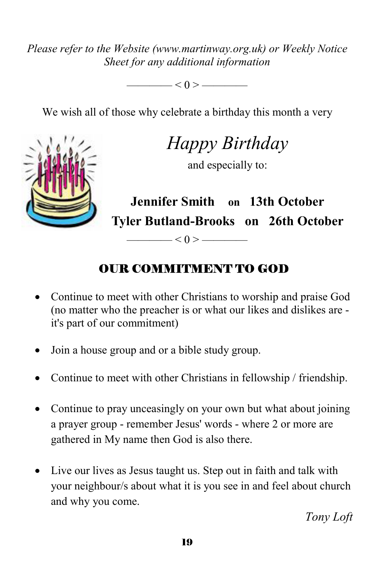*Please refer to the Website (www.martinway.org.uk) or Weekly Notice Sheet for any additional information* 

 $< 0 > \fbox{$ 

We wish all of those why celebrate a birthday this month a very



*Happy Birthday* 

and especially to:

**Jennifer Smith on 13th October Tyler Butland-Brooks on 26th October** 

## OUR COMMITMENT TO GOD

 $\leq 0$  >  $\leq$ 

- Continue to meet with other Christians to worship and praise God (no matter who the preacher is or what our likes and dislikes are it's part of our commitment)
- Join a house group and or a bible study group.
- Continue to meet with other Christians in fellowship / friendship.
- Continue to pray unceasingly on your own but what about joining a prayer group - remember Jesus' words - where 2 or more are gathered in My name then God is also there.
- Live our lives as Jesus taught us. Step out in faith and talk with your neighbour/s about what it is you see in and feel about church and why you come.

*Tony Loft*